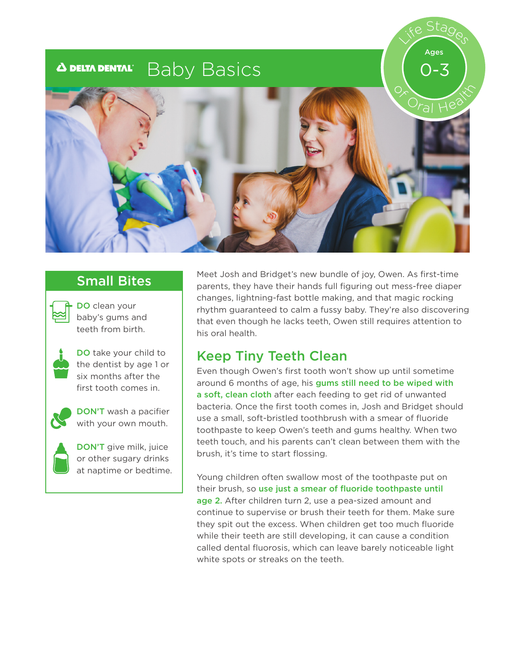#### Baby Basics**A DELTA DENTAL**®







DO clean your baby's gums and teeth from birth.



DO take your child to the dentist by age 1 or six months after the first tooth comes in.



DON'T wash a pacifier with your own mouth.



DON'T give milk, juice or other sugary drinks at naptime or bedtime.

Small Bites Meet Josh and Bridget's new bundle of joy, Owen. As first-time parents, they have their hands full figuring out mess-free diaper changes, lightning-fast bottle making, and that magic rocking rhythm guaranteed to calm a fussy baby. They're also discovering that even though he lacks teeth, Owen still requires attention to his oral health.

### Keep Tiny Teeth Clean

Even though Owen's first tooth won't show up until sometime around 6 months of age, his gums still need to be wiped with a soft, clean cloth after each feeding to get rid of unwanted bacteria. Once the first tooth comes in, Josh and Bridget should use a small, soft-bristled toothbrush with a smear of fluoride toothpaste to keep Owen's teeth and gums healthy. When two teeth touch, and his parents can't clean between them with the brush, it's time to start flossing.

Young children often swallow most of the toothpaste put on their brush, so use just a smear of fluoride toothpaste until age 2. After children turn 2, use a pea-sized amount and continue to supervise or brush their teeth for them. Make sure they spit out the excess. When children get too much fluoride while their teeth are still developing, it can cause a condition called dental fluorosis, which can leave barely noticeable light white spots or streaks on the teeth.